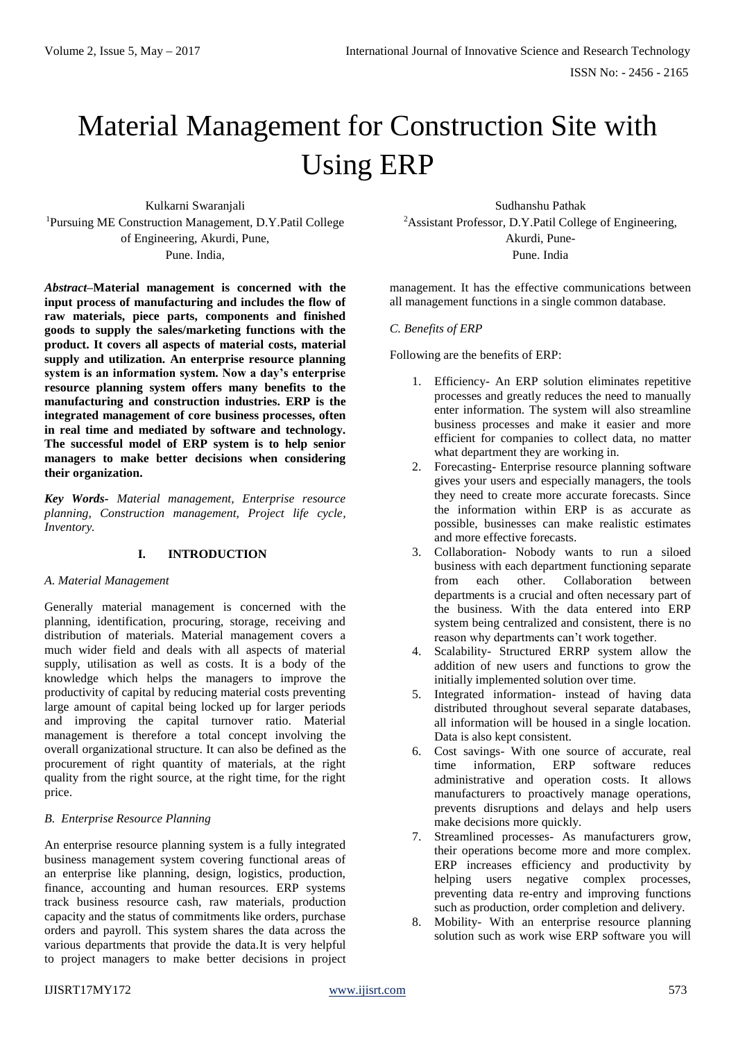# Material Management for Construction Site with Using ERP

Kulkarni Swaranjali <sup>1</sup>Pursuing ME Construction Management, D.Y.Patil College of Engineering, Akurdi, Pune, Pune. India,

*Abstract***–Material management is concerned with the input process of manufacturing and includes the flow of raw materials, piece parts, components and finished goods to supply the sales/marketing functions with the product. It covers all aspects of material costs, material supply and utilization. An enterprise resource planning system is an information system. Now a day's enterprise resource planning system offers many benefits to the manufacturing and construction industries. ERP is the integrated management of core business processes, often in real time and mediated by software and technology. The successful model of ERP system is to help senior managers to make better decisions when considering their organization.**

*Key Words- Material management, Enterprise resource planning, Construction management, Project life cycle, Inventory.*

# **I. INTRODUCTION**

#### *A. Material Management*

Generally material management is concerned with the planning, identification, procuring, storage, receiving and distribution of materials. Material management covers a much wider field and deals with all aspects of material supply, utilisation as well as costs. It is a body of the knowledge which helps the managers to improve the productivity of capital by reducing material costs preventing large amount of capital being locked up for larger periods and improving the capital turnover ratio. Material management is therefore a total concept involving the overall organizational structure. It can also be defined as the procurement of right quantity of materials, at the right quality from the right source, at the right time, for the right price.

# *B. Enterprise Resource Planning*

An enterprise resource planning system is a fully integrated business management system covering functional areas of an enterprise like planning, design, logistics, production, finance, accounting and human resources. ERP systems track business resource cash, raw materials, production capacity and the status of commitments like orders, purchase orders and payroll. This system shares the data across the various departments that provide the data.It is very helpful to project managers to make better decisions in project

Sudhanshu Pathak <sup>2</sup>Assistant Professor, D.Y.Patil College of Engineering, Akurdi, Pune-Pune. India

management. It has the effective communications between all management functions in a single common database.

## *C. Benefits of ERP*

Following are the benefits of ERP:

- 1. Efficiency- An ERP solution eliminates repetitive processes and greatly reduces the need to manually enter information. The system will also streamline business processes and make it easier and more efficient for companies to collect data, no matter what department they are working in.
- 2. Forecasting- Enterprise resource planning software gives your users and especially managers, the tools they need to create more accurate forecasts. Since the information within ERP is as accurate as possible, businesses can make realistic estimates and more effective forecasts.
- 3. Collaboration- Nobody wants to run a siloed business with each department functioning separate from each other. Collaboration between departments is a crucial and often necessary part of the business. With the data entered into ERP system being centralized and consistent, there is no reason why departments can't work together.
- 4. Scalability- Structured ERRP system allow the addition of new users and functions to grow the initially implemented solution over time.
- 5. Integrated information- instead of having data distributed throughout several separate databases, all information will be housed in a single location. Data is also kept consistent.
- 6. Cost savings- With one source of accurate, real time information, ERP software reduces administrative and operation costs. It allows manufacturers to proactively manage operations, prevents disruptions and delays and help users make decisions more quickly.
- 7. Streamlined processes- As manufacturers grow, their operations become more and more complex. ERP increases efficiency and productivity by helping users negative complex processes, preventing data re-entry and improving functions such as production, order completion and delivery.
- 8. Mobility- With an enterprise resource planning solution such as work wise ERP software you will